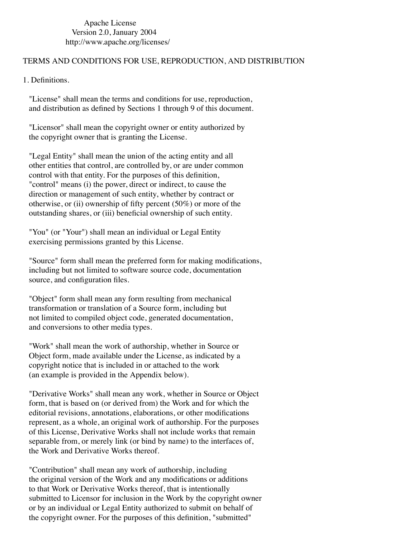Apache License Version 2.0, January 2004 http://www.apache.org/licenses/

## TERMS AND CONDITIONS FOR USE, REPRODUCTION, AND DISTRIBUTION

1. Definitions.

 "License" shall mean the terms and conditions for use, reproduction, and distribution as defined by Sections 1 through 9 of this document.

 "Licensor" shall mean the copyright owner or entity authorized by the copyright owner that is granting the License.

 "Legal Entity" shall mean the union of the acting entity and all other entities that control, are controlled by, or are under common control with that entity. For the purposes of this definition, "control" means (i) the power, direct or indirect, to cause the direction or management of such entity, whether by contract or otherwise, or (ii) ownership of fifty percent (50%) or more of the outstanding shares, or (iii) beneficial ownership of such entity.

 "You" (or "Your") shall mean an individual or Legal Entity exercising permissions granted by this License.

 "Source" form shall mean the preferred form for making modifications, including but not limited to software source code, documentation source, and configuration files.

 "Object" form shall mean any form resulting from mechanical transformation or translation of a Source form, including but not limited to compiled object code, generated documentation, and conversions to other media types.

 "Work" shall mean the work of authorship, whether in Source or Object form, made available under the License, as indicated by a copyright notice that is included in or attached to the work (an example is provided in the Appendix below).

 "Derivative Works" shall mean any work, whether in Source or Object form, that is based on (or derived from) the Work and for which the editorial revisions, annotations, elaborations, or other modifications represent, as a whole, an original work of authorship. For the purposes of this License, Derivative Works shall not include works that remain separable from, or merely link (or bind by name) to the interfaces of, the Work and Derivative Works thereof.

 "Contribution" shall mean any work of authorship, including the original version of the Work and any modifications or additions to that Work or Derivative Works thereof, that is intentionally submitted to Licensor for inclusion in the Work by the copyright owner or by an individual or Legal Entity authorized to submit on behalf of the copyright owner. For the purposes of this definition, "submitted"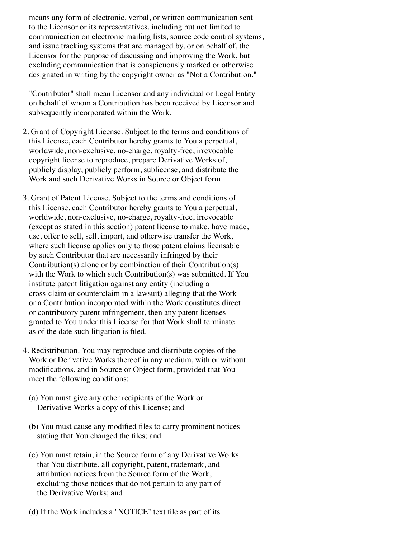means any form of electronic, verbal, or written communication sent to the Licensor or its representatives, including but not limited to communication on electronic mailing lists, source code control systems, and issue tracking systems that are managed by, or on behalf of, the Licensor for the purpose of discussing and improving the Work, but excluding communication that is conspicuously marked or otherwise designated in writing by the copyright owner as "Not a Contribution."

 "Contributor" shall mean Licensor and any individual or Legal Entity on behalf of whom a Contribution has been received by Licensor and subsequently incorporated within the Work.

- 2. Grant of Copyright License. Subject to the terms and conditions of this License, each Contributor hereby grants to You a perpetual, worldwide, non-exclusive, no-charge, royalty-free, irrevocable copyright license to reproduce, prepare Derivative Works of, publicly display, publicly perform, sublicense, and distribute the Work and such Derivative Works in Source or Object form.
- 3. Grant of Patent License. Subject to the terms and conditions of this License, each Contributor hereby grants to You a perpetual, worldwide, non-exclusive, no-charge, royalty-free, irrevocable (except as stated in this section) patent license to make, have made, use, offer to sell, sell, import, and otherwise transfer the Work, where such license applies only to those patent claims licensable by such Contributor that are necessarily infringed by their Contribution(s) alone or by combination of their Contribution(s) with the Work to which such Contribution(s) was submitted. If You institute patent litigation against any entity (including a cross-claim or counterclaim in a lawsuit) alleging that the Work or a Contribution incorporated within the Work constitutes direct or contributory patent infringement, then any patent licenses granted to You under this License for that Work shall terminate as of the date such litigation is filed.
- 4. Redistribution. You may reproduce and distribute copies of the Work or Derivative Works thereof in any medium, with or without modifications, and in Source or Object form, provided that You meet the following conditions:
	- (a) You must give any other recipients of the Work or Derivative Works a copy of this License; and
	- (b) You must cause any modified files to carry prominent notices stating that You changed the files; and
	- (c) You must retain, in the Source form of any Derivative Works that You distribute, all copyright, patent, trademark, and attribution notices from the Source form of the Work, excluding those notices that do not pertain to any part of the Derivative Works; and
	- (d) If the Work includes a "NOTICE" text file as part of its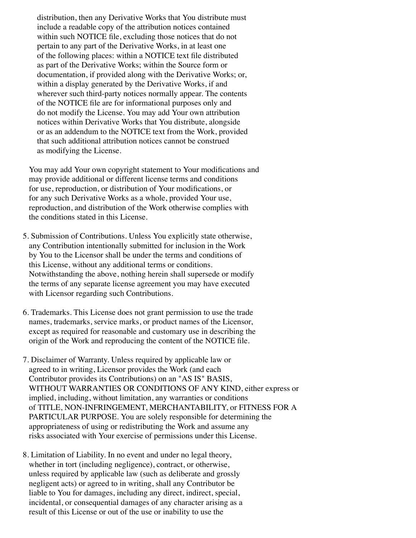distribution, then any Derivative Works that You distribute must include a readable copy of the attribution notices contained within such NOTICE file, excluding those notices that do not pertain to any part of the Derivative Works, in at least one of the following places: within a NOTICE text file distributed as part of the Derivative Works; within the Source form or documentation, if provided along with the Derivative Works; or, within a display generated by the Derivative Works, if and wherever such third-party notices normally appear. The contents of the NOTICE file are for informational purposes only and do not modify the License. You may add Your own attribution notices within Derivative Works that You distribute, alongside or as an addendum to the NOTICE text from the Work, provided that such additional attribution notices cannot be construed as modifying the License.

 You may add Your own copyright statement to Your modifications and may provide additional or different license terms and conditions for use, reproduction, or distribution of Your modifications, or for any such Derivative Works as a whole, provided Your use, reproduction, and distribution of the Work otherwise complies with the conditions stated in this License.

- 5. Submission of Contributions. Unless You explicitly state otherwise, any Contribution intentionally submitted for inclusion in the Work by You to the Licensor shall be under the terms and conditions of this License, without any additional terms or conditions. Notwithstanding the above, nothing herein shall supersede or modify the terms of any separate license agreement you may have executed with Licensor regarding such Contributions.
- 6. Trademarks. This License does not grant permission to use the trade names, trademarks, service marks, or product names of the Licensor, except as required for reasonable and customary use in describing the origin of the Work and reproducing the content of the NOTICE file.
- 7. Disclaimer of Warranty. Unless required by applicable law or agreed to in writing, Licensor provides the Work (and each Contributor provides its Contributions) on an "AS IS" BASIS, WITHOUT WARRANTIES OR CONDITIONS OF ANY KIND, either express or implied, including, without limitation, any warranties or conditions of TITLE, NON-INFRINGEMENT, MERCHANTABILITY, or FITNESS FOR A PARTICULAR PURPOSE. You are solely responsible for determining the appropriateness of using or redistributing the Work and assume any risks associated with Your exercise of permissions under this License.
- 8. Limitation of Liability. In no event and under no legal theory, whether in tort (including negligence), contract, or otherwise, unless required by applicable law (such as deliberate and grossly negligent acts) or agreed to in writing, shall any Contributor be liable to You for damages, including any direct, indirect, special, incidental, or consequential damages of any character arising as a result of this License or out of the use or inability to use the